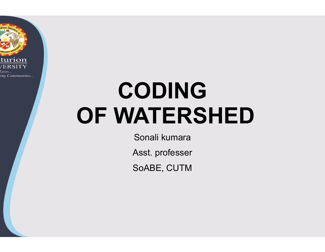

# CODING OF WATERSHED

Sonali kumara

Asst. professer

SoABE, CUTM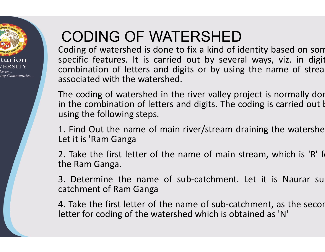

## CODING OF WATERSHED

**CODING OF WATERSHED**<br>Coding of watershed is done to fix a kind of identity baspecific features. It is carried out by several ways,<br>combination of letters and digits or by using the nar<br>associated with the watershed. **CODING OF WATERSHED**<br>Coding of watershed is done to fix a kind of identity baspecific features. It is carried out by several ways,<br>combination of letters and digits or by using the nar<br>associated with the watershed. **CODING OF WATERSHED**<br>Coding of watershed is done to fix a kind of ident<br>specific features. It is carried out by several w<br>combination of letters and digits or by using the<br>associated with the watershed.<br>The coding of wate **CODING OF WATERSHED**<br>Coding of watershed is done to fix a kind of ident<br>specific features. It is carried out by several w<br>combination of letters and digits or by using th<br>associated with the watershed.<br>The coding of water **CODING OF WATERSHED**<br>Coding of watershed is done to fix a kind of ide<br>specific features. It is carried out by several<br>combination of letters and digits or by using t<br>associated with the watershed.<br>The coding of watershed **CODING OF WATERSHED**<br>Coding of watershed is done to fix a kind of identity<br>specific features. It is carried out by several ways<br>combination of letters and digits or by using the n<br>associated with the watershed.<br>The coding **CODING OF WATERSHED**<br>Coding of watershed is done to fix a kind of identity<br>specific features. It is carried out by several ways<br>combination of letters and digits or by using the n<br>associated with the watershed.<br>The coding CODITY OF VALIERSTIED<br>Coding of watershed is done to fix a kind of id<br>specific features. It is carried out by severa<br>combination of letters and digits or by using<br>associated with the watershed.<br>The coding of watershed in t specific features. It is carried out by several ways, vicombination of letters and digits or by using the name<br>associated with the watershed.<br>The coding of watershed in the river valley project is no<br>in the combination of FERSHED<br>to fix a kind of identity based on som<br>d out by several ways, viz. in digit<br>ligits or by using the name of strea<br>d. ERSHED<br>fix a kind of identity based on som<br>out by several ways, viz. in digit<br>ts or by using the name of strea TERSHED<br>TERSHED<br>The fix a kind of identity based on som<br>ed out by several ways, viz. in digit<br>digits or by using the name of streamed.<br>the river valley project is normally dor associated with the watershed. TERSHED<br>
E to fix a kind of identity based on som<br>
led out by several ways, viz. in digit<br>
digits or by using the name of strea<br>
ed.<br>
the river valley project is normally don<br>
s and digits. The coding is carried out k **FERSHED**<br>to fix a kind of identity based on som<br>d out by several ways, viz. in digit<br>ligits or by using the name of strea<br>d.<br>ne river valley project is normally dor<br>and digits. The coding is carried out k<br>n river/stream d name of rathing bases on some<br>d out by several ways, viz. in digit<br>igits or by using the name of strea<br>d.<br>ne river valley project is normally dor<br>and digits. The coding is carried out k<br>name of main stream, which is 'R' fo

Solution of letters and digits or by unassociated with the watershed.<br>The coding of watershed in the river valley<br>in the combination of letters and digits. The solution of letters and digits. The<br>using the following steps. associated with the watershed.<br>
The coding of watershed in the river valley project is<br>
in the combination of letters and digits. The coding is<br>
using the following steps.<br>
1. Find Out the name of main river/stream drainin The coding of watershed in the river valley project in the combination of letters and digits. The coding<br>using the following steps.<br>1. Find Out the name of main river/stream draining<br>Let it is 'Ram Ganga<br>2. Take the first thed.<br>
In the river valley project is normally dor<br>
Iners and digits. The coding is carried out k<br>
Inain river/stream draining the watershe<br>
Ine name of main stream, which is 'R' f<br>
Ine name of sub-catchment, as the secor<br>

1. Find Out the name of main river/stream draining the watershe In the combination of letters and digits. The coding is cat using the following steps.<br>
1. Find Out the name of main river/stream draining the let it is 'Ram Ganga<br>
2. Take the first letter of the name of main stream, when using the following steps.<br>1. Find Out the name of main river/stream draining<br>Let it is 'Ram Ganga<br>2. Take the first letter of the name of main stream,<br>the Ram Ganga.<br>3. Determine the name of sub-catchment. Let it<br>catchmen

and digits. The coding is carried out if<br>in river/stream draining the watershe<br>name of main stream, which is 'R' fit<br>sub-catchment. Let it is Naurar su<br>name of sub-catchment, as the secor<br>shed which is obtained as 'N' er/stream draining the watershe<br>ie of main stream, which is 'R' fi<br>catchment. Let it is Naurar su<br>e of sub-catchment, as the secor<br>which is obtained as 'N'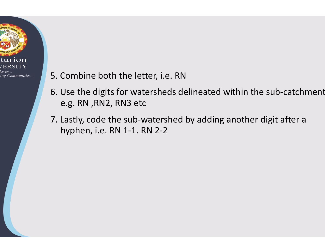

#### 5. Combine both the letter, i.e. RN

- 6. Use the digits for watersheds delineated within the sub-catchment e.g. RN ,RN2, RN3 etc
- 7. Lastly, code the sub-watershed by adding another digit after a<br>hyphen, i.e. RN 1-1. RN 2-2 hyphen, i.e. RN 1-1. RN 2-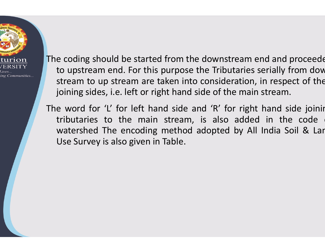

The coding should be started from the downstream end<br>to upstream end. For this purpose the Tributaries ser<br>stream to up stream are taken into consideration, in<br>igining sides i.e. left or right hand side of the main st e coding should be started from the downstream end at<br>to upstream end. For this purpose the Tributaries serial<br>stream to up stream are taken into consideration, in re<br>joining sides, i.e. left or right hand side of the main e coding should be started from the downstream end a<br>to upstream end. For this purpose the Tributaries seria<br>stream to up stream are taken into consideration, in re<br>joining sides, i.e. left or right hand side of the main s e coding should be started from the downstream end a<br>to upstream end. For this purpose the Tributaries seria<br>stream to up stream are taken into consideration, in r<br>joining sides, i.e. left or right hand side of the main st The coding should be started from the downstream en<br>to upstream end. For this purpose the Tributaries se<br>stream to up stream are taken into consideration, ir<br>joining sides, i.e. left or right hand side of the main s<br>The wo from the downstream end and proceedent<br>purpose the Tributaries serially from dow<br>ken into consideration, in respect of the e downstream end and proceede<br>the Tributaries serially from dow<br>o consideration, in respect of the<br>side of the main stream. If<br>the downstream end and proceede<br>bse the Tributaries serially from dow<br>into consideration, in respect of the<br>nd side of the main stream.<br>le and 'R' for right hand side joinir om the downstream end and proceeder<br>pose the Tributaries serially from dow<br>en into consideration, in respect of the<br>hand side of the main stream.<br>side and 'R' for right hand side joinir<br>ream, is also added in the code om the downstream end and proceeder<br>pose the Tributaries serially from dow<br>en into consideration, in respect of the<br>hand side of the main stream.<br>side and 'R' for right hand side joinir<br>ream, is also added in the code from the downstream end and proceede<br>
surpose the Tributaries serially from dow<br>
ken into consideration, in respect of the<br>
int hand side of the main stream.<br>
d side and 'R' for right hand side joinir<br>
stream, is also adde

e coding should be started from the downstream end<br>to upstream end. For this purpose the Tributaries seri<br>stream to up stream are taken into consideration, in r<br>joining sides, i.e. left or right hand side of the main stre<br> watershed The encoding method adopted by All India Soil & Lar e coding should be started from the downstream end and<br>to upstream end. For this purpose the Tributaries serially<br>stream to up stream are taken into consideration, in resp<br>joining sides, i.e. left or right hand side of the Use Survey is also given in Table.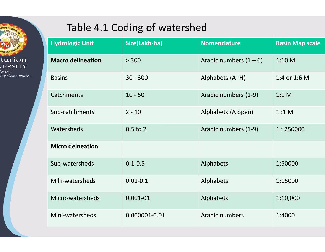

### Table 4.1 Coding of watershed

| Table 4.1 Coding of watershed |               |                          |                        |
|-------------------------------|---------------|--------------------------|------------------------|
| <b>Hydrologic Unit</b>        | Size(Lakh-ha) | <b>Nomenclature</b>      | <b>Basin Map scale</b> |
| <b>Macro delineation</b>      | > 300         | Arabic numbers $(1 - 6)$ | 1:10 M                 |
| <b>Basins</b>                 | $30 - 300$    | Alphabets (A-H)          | 1:4 or 1:6 M           |
| <b>Catchments</b>             | $10 - 50$     | Arabic numbers (1-9)     | 1:1 M                  |
| Sub-catchments                | $2 - 10$      | Alphabets (A open)       | 1:1 M                  |
| Watersheds                    | $0.5$ to $2$  | Arabic numbers (1-9)     | 1:250000               |
| <b>Micro delneation</b>       |               |                          |                        |
| Sub-watersheds                | $0.1 - 0.5$   | Alphabets                | 1:50000                |
| Milli-watersheds              | $0.01 - 0.1$  | Alphabets                | 1:15000                |
| Micro-watersheds              | $0.001 - 01$  | Alphabets                | 1:10,000               |
| Mini-watersheds               | 0.000001-0.01 | Arabic numbers           | 1:4000                 |
|                               |               |                          |                        |